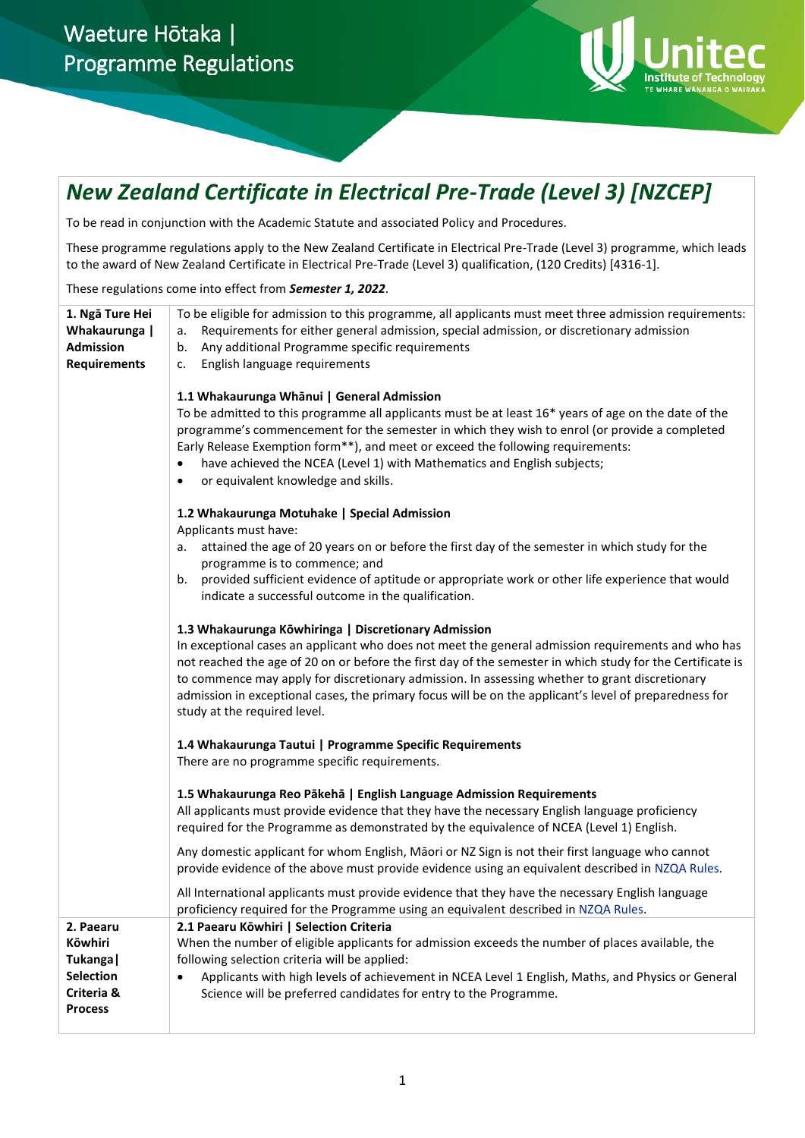# Waeture Hōtaka | Programme Regulations



# *New Zealand Certificate in Electrical Pre-Trade (Level 3) [NZCEP]*

To be read in conjunction with the Academic Statute and associated Policy and Procedures.

These programme regulations apply to the New Zealand Certificate in Electrical Pre-Trade (Level 3) programme, which leads to the award of New Zealand Certificate in Electrical Pre-Trade (Level 3) qualification, (120 Credits) [4316-1].

These regulations come into effect from *Semester 1, 2022*.

| 1. Ngā Ture Hei<br>Whakaurunga  <br><b>Admission</b><br><b>Requirements</b>           | To be eligible for admission to this programme, all applicants must meet three admission requirements:<br>Requirements for either general admission, special admission, or discretionary admission<br>а.<br>Any additional Programme specific requirements<br>b.<br>English language requirements<br>c.<br>1.1 Whakaurunga Whānui   General Admission<br>To be admitted to this programme all applicants must be at least 16* years of age on the date of the<br>programme's commencement for the semester in which they wish to enrol (or provide a completed<br>Early Release Exemption form**), and meet or exceed the following requirements:<br>have achieved the NCEA (Level 1) with Mathematics and English subjects;<br>or equivalent knowledge and skills. |
|---------------------------------------------------------------------------------------|---------------------------------------------------------------------------------------------------------------------------------------------------------------------------------------------------------------------------------------------------------------------------------------------------------------------------------------------------------------------------------------------------------------------------------------------------------------------------------------------------------------------------------------------------------------------------------------------------------------------------------------------------------------------------------------------------------------------------------------------------------------------|
|                                                                                       | 1.2 Whakaurunga Motuhake   Special Admission<br>Applicants must have:<br>attained the age of 20 years on or before the first day of the semester in which study for the<br>a.<br>programme is to commence; and<br>provided sufficient evidence of aptitude or appropriate work or other life experience that would<br>b.<br>indicate a successful outcome in the qualification.                                                                                                                                                                                                                                                                                                                                                                                     |
|                                                                                       | 1.3 Whakaurunga Kōwhiringa   Discretionary Admission<br>In exceptional cases an applicant who does not meet the general admission requirements and who has<br>not reached the age of 20 on or before the first day of the semester in which study for the Certificate is<br>to commence may apply for discretionary admission. In assessing whether to grant discretionary<br>admission in exceptional cases, the primary focus will be on the applicant's level of preparedness for<br>study at the required level.                                                                                                                                                                                                                                                |
|                                                                                       | 1.4 Whakaurunga Tautui   Programme Specific Requirements<br>There are no programme specific requirements.                                                                                                                                                                                                                                                                                                                                                                                                                                                                                                                                                                                                                                                           |
|                                                                                       | 1.5 Whakaurunga Reo Pākehā   English Language Admission Requirements<br>All applicants must provide evidence that they have the necessary English language proficiency<br>required for the Programme as demonstrated by the equivalence of NCEA (Level 1) English.                                                                                                                                                                                                                                                                                                                                                                                                                                                                                                  |
|                                                                                       | Any domestic applicant for whom English, Māori or NZ Sign is not their first language who cannot<br>provide evidence of the above must provide evidence using an equivalent described in NZQA Rules.                                                                                                                                                                                                                                                                                                                                                                                                                                                                                                                                                                |
|                                                                                       | All International applicants must provide evidence that they have the necessary English language<br>proficiency required for the Programme using an equivalent described in NZQA Rules.                                                                                                                                                                                                                                                                                                                                                                                                                                                                                                                                                                             |
| 2. Paearu<br>Kōwhiri<br>Tukanga  <br><b>Selection</b><br>Criteria &<br><b>Process</b> | 2.1 Paearu Kōwhiri   Selection Criteria<br>When the number of eligible applicants for admission exceeds the number of places available, the<br>following selection criteria will be applied:<br>Applicants with high levels of achievement in NCEA Level 1 English, Maths, and Physics or General<br>$\bullet$<br>Science will be preferred candidates for entry to the Programme.                                                                                                                                                                                                                                                                                                                                                                                  |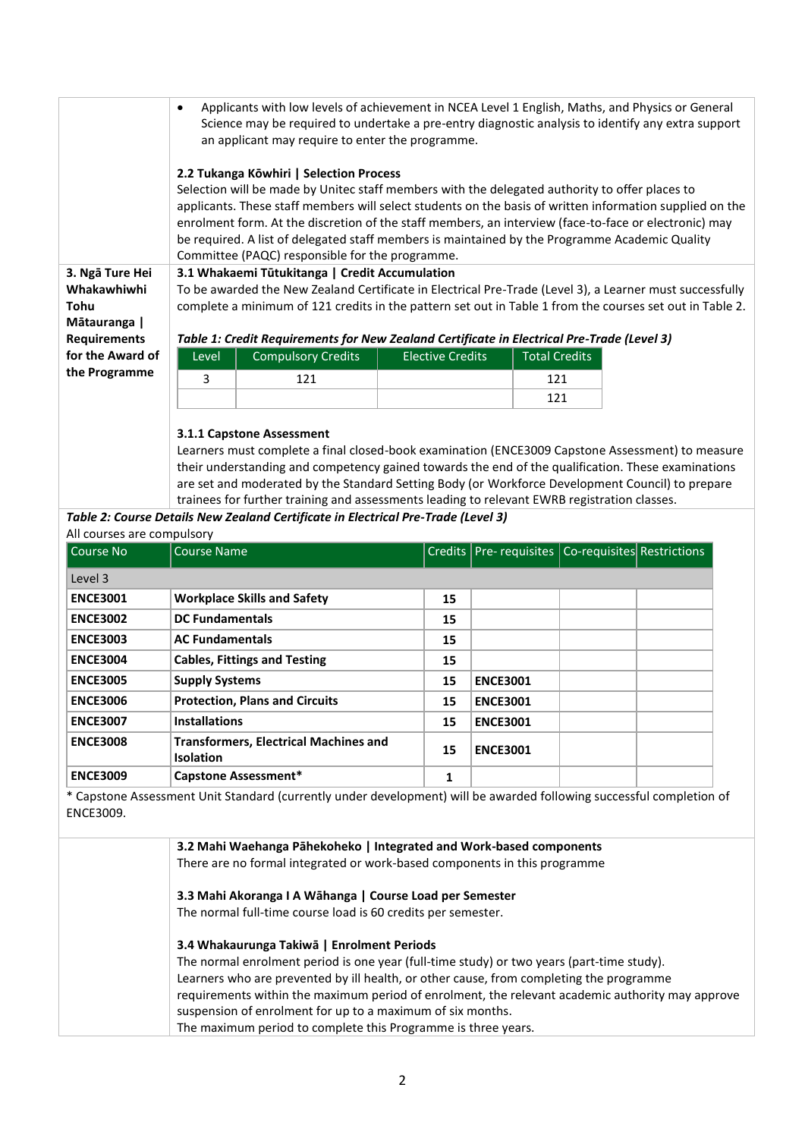|                                                      | Applicants with low levels of achievement in NCEA Level 1 English, Maths, and Physics or General<br>$\bullet$<br>Science may be required to undertake a pre-entry diagnostic analysis to identify any extra support<br>an applicant may require to enter the programme.<br>2.2 Tukanga Kōwhiri   Selection Process<br>Selection will be made by Unitec staff members with the delegated authority to offer places to<br>applicants. These staff members will select students on the basis of written information supplied on the<br>enrolment form. At the discretion of the staff members, an interview (face-to-face or electronic) may<br>be required. A list of delegated staff members is maintained by the Programme Academic Quality |                                                 |  |     |  |  |
|------------------------------------------------------|---------------------------------------------------------------------------------------------------------------------------------------------------------------------------------------------------------------------------------------------------------------------------------------------------------------------------------------------------------------------------------------------------------------------------------------------------------------------------------------------------------------------------------------------------------------------------------------------------------------------------------------------------------------------------------------------------------------------------------------------|-------------------------------------------------|--|-----|--|--|
|                                                      |                                                                                                                                                                                                                                                                                                                                                                                                                                                                                                                                                                                                                                                                                                                                             | Committee (PAQC) responsible for the programme. |  |     |  |  |
| 3. Ngā Ture Hei<br>Whakawhiwhi<br>Tohu<br>Mātauranga | 3.1 Whakaemi Tūtukitanga   Credit Accumulation<br>To be awarded the New Zealand Certificate in Electrical Pre-Trade (Level 3), a Learner must successfully<br>complete a minimum of 121 credits in the pattern set out in Table 1 from the courses set out in Table 2.                                                                                                                                                                                                                                                                                                                                                                                                                                                                      |                                                 |  |     |  |  |
| <b>Requirements</b>                                  | Table 1: Credit Requirements for New Zealand Certificate in Electrical Pre-Trade (Level 3)                                                                                                                                                                                                                                                                                                                                                                                                                                                                                                                                                                                                                                                  |                                                 |  |     |  |  |
| for the Award of                                     | <b>Compulsory Credits</b><br><b>Total Credits</b><br><b>Elective Credits</b><br>Level                                                                                                                                                                                                                                                                                                                                                                                                                                                                                                                                                                                                                                                       |                                                 |  |     |  |  |
| the Programme                                        | 3                                                                                                                                                                                                                                                                                                                                                                                                                                                                                                                                                                                                                                                                                                                                           | 121                                             |  | 121 |  |  |
|                                                      |                                                                                                                                                                                                                                                                                                                                                                                                                                                                                                                                                                                                                                                                                                                                             |                                                 |  | 121 |  |  |
|                                                      |                                                                                                                                                                                                                                                                                                                                                                                                                                                                                                                                                                                                                                                                                                                                             |                                                 |  |     |  |  |

### **3.1.1 Capstone Assessment**

Learners must complete a final closed-book examination (ENCE3009 Capstone Assessment) to measure their understanding and competency gained towards the end of the qualification. These examinations are set and moderated by the Standard Setting Body (or Workforce Development Council) to prepare trainees for further training and assessments leading to relevant EWRB registration classes.

## *Table 2: Course Details New Zealand Certificate in Electrical Pre-Trade (Level 3)*

All courses are compulsory

| l Course No     | <b>Course Name</b>                                               |    | Credits   Pre- requisites   Co-requisites   Restrictions |  |  |
|-----------------|------------------------------------------------------------------|----|----------------------------------------------------------|--|--|
| Level 3         |                                                                  |    |                                                          |  |  |
| <b>ENCE3001</b> | <b>Workplace Skills and Safety</b>                               | 15 |                                                          |  |  |
| <b>ENCE3002</b> | <b>DC Fundamentals</b>                                           | 15 |                                                          |  |  |
| <b>ENCE3003</b> | <b>AC Fundamentals</b>                                           | 15 |                                                          |  |  |
| <b>ENCE3004</b> | <b>Cables, Fittings and Testing</b>                              | 15 |                                                          |  |  |
| <b>ENCE3005</b> | <b>Supply Systems</b>                                            | 15 | <b>ENCE3001</b>                                          |  |  |
| <b>ENCE3006</b> | <b>Protection, Plans and Circuits</b>                            | 15 | <b>ENCE3001</b>                                          |  |  |
| <b>ENCE3007</b> | <b>Installations</b>                                             | 15 | <b>ENCE3001</b>                                          |  |  |
| <b>ENCE3008</b> | <b>Transformers, Electrical Machines and</b><br><b>Isolation</b> | 15 | <b>ENCE3001</b>                                          |  |  |
| <b>ENCE3009</b> | Capstone Assessment*                                             | 1  |                                                          |  |  |

\* Capstone Assessment Unit Standard (currently under development) will be awarded following successful completion of ENCE3009.

| 3.2 Mahi Waehanga Pāhekoheko   Integrated and Work-based components                              |
|--------------------------------------------------------------------------------------------------|
| There are no formal integrated or work-based components in this programme                        |
| 3.3 Mahi Akoranga I A Wāhanga   Course Load per Semester                                         |
| The normal full-time course load is 60 credits per semester.                                     |
| 3.4 Whakaurunga Takiwā   Enrolment Periods                                                       |
| The normal enrolment period is one year (full-time study) or two years (part-time study).        |
| Learners who are prevented by ill health, or other cause, from completing the programme          |
| requirements within the maximum period of enrolment, the relevant academic authority may approve |
| suspension of enrolment for up to a maximum of six months.                                       |
| The maximum period to complete this Programme is three years.                                    |
|                                                                                                  |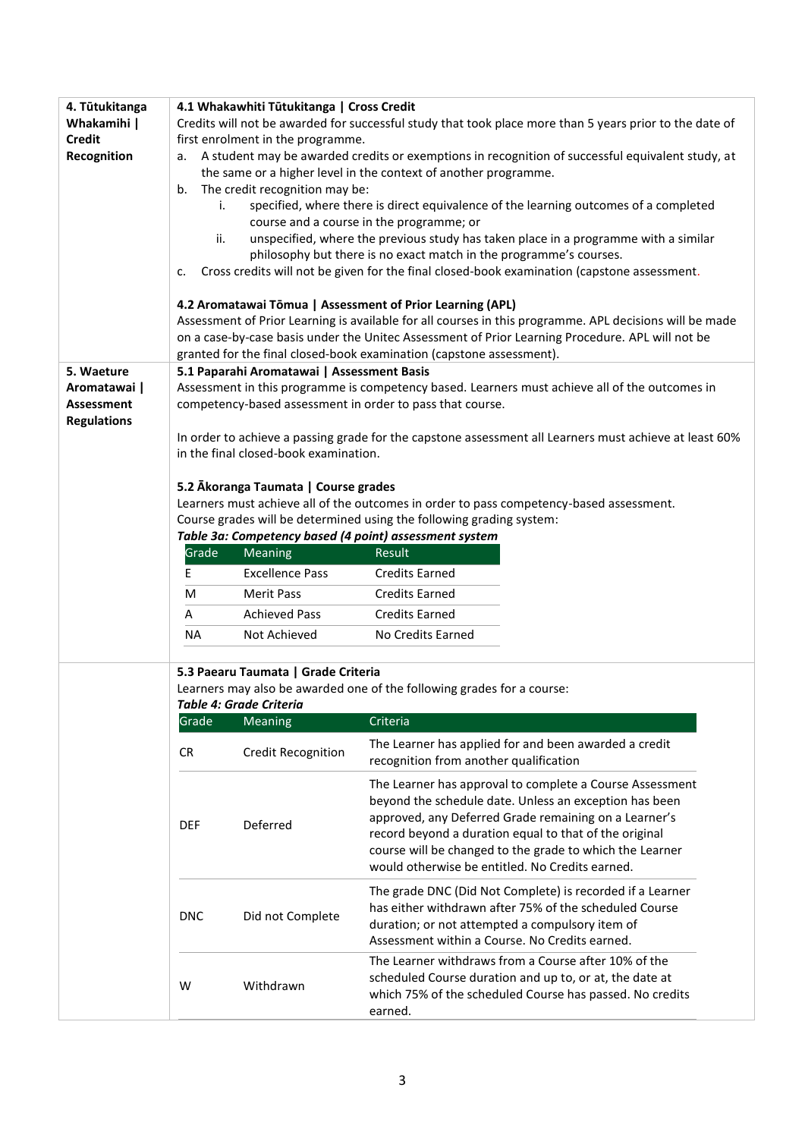| 4. Tūtukitanga                    | 4.1 Whakawhiti Tūtukitanga   Cross Credit                                                                                                    |                                            |                                                                                                                                                                                                                                                                                                                                                      |  |  |
|-----------------------------------|----------------------------------------------------------------------------------------------------------------------------------------------|--------------------------------------------|------------------------------------------------------------------------------------------------------------------------------------------------------------------------------------------------------------------------------------------------------------------------------------------------------------------------------------------------------|--|--|
| Whakamihi                         | Credits will not be awarded for successful study that took place more than 5 years prior to the date of<br>first enrolment in the programme. |                                            |                                                                                                                                                                                                                                                                                                                                                      |  |  |
| <b>Credit</b><br>Recognition      | а.                                                                                                                                           |                                            | A student may be awarded credits or exemptions in recognition of successful equivalent study, at                                                                                                                                                                                                                                                     |  |  |
|                                   |                                                                                                                                              |                                            | the same or a higher level in the context of another programme.                                                                                                                                                                                                                                                                                      |  |  |
|                                   | b.                                                                                                                                           | The credit recognition may be:             |                                                                                                                                                                                                                                                                                                                                                      |  |  |
|                                   | i.                                                                                                                                           |                                            | specified, where there is direct equivalence of the learning outcomes of a completed                                                                                                                                                                                                                                                                 |  |  |
|                                   |                                                                                                                                              |                                            | course and a course in the programme; or                                                                                                                                                                                                                                                                                                             |  |  |
|                                   | ii.                                                                                                                                          |                                            | unspecified, where the previous study has taken place in a programme with a similar                                                                                                                                                                                                                                                                  |  |  |
|                                   |                                                                                                                                              |                                            | philosophy but there is no exact match in the programme's courses.                                                                                                                                                                                                                                                                                   |  |  |
|                                   | c.                                                                                                                                           |                                            | Cross credits will not be given for the final closed-book examination (capstone assessment.                                                                                                                                                                                                                                                          |  |  |
|                                   |                                                                                                                                              |                                            | 4.2 Aromatawai Tōmua   Assessment of Prior Learning (APL)                                                                                                                                                                                                                                                                                            |  |  |
|                                   |                                                                                                                                              |                                            | Assessment of Prior Learning is available for all courses in this programme. APL decisions will be made                                                                                                                                                                                                                                              |  |  |
|                                   |                                                                                                                                              |                                            | on a case-by-case basis under the Unitec Assessment of Prior Learning Procedure. APL will not be                                                                                                                                                                                                                                                     |  |  |
|                                   |                                                                                                                                              |                                            | granted for the final closed-book examination (capstone assessment).                                                                                                                                                                                                                                                                                 |  |  |
| 5. Waeture                        |                                                                                                                                              | 5.1 Paparahi Aromatawai   Assessment Basis |                                                                                                                                                                                                                                                                                                                                                      |  |  |
| Aromatawai  <br><b>Assessment</b> |                                                                                                                                              |                                            | Assessment in this programme is competency based. Learners must achieve all of the outcomes in<br>competency-based assessment in order to pass that course.                                                                                                                                                                                          |  |  |
| <b>Regulations</b>                |                                                                                                                                              |                                            |                                                                                                                                                                                                                                                                                                                                                      |  |  |
|                                   |                                                                                                                                              |                                            | In order to achieve a passing grade for the capstone assessment all Learners must achieve at least 60%                                                                                                                                                                                                                                               |  |  |
|                                   |                                                                                                                                              | in the final closed-book examination.      |                                                                                                                                                                                                                                                                                                                                                      |  |  |
|                                   |                                                                                                                                              |                                            |                                                                                                                                                                                                                                                                                                                                                      |  |  |
|                                   |                                                                                                                                              | 5.2 Ākoranga Taumata   Course grades       |                                                                                                                                                                                                                                                                                                                                                      |  |  |
|                                   |                                                                                                                                              |                                            | Learners must achieve all of the outcomes in order to pass competency-based assessment.                                                                                                                                                                                                                                                              |  |  |
|                                   |                                                                                                                                              |                                            | Course grades will be determined using the following grading system:                                                                                                                                                                                                                                                                                 |  |  |
|                                   | Grade                                                                                                                                        | Meaning                                    | Table 3a: Competency based (4 point) assessment system<br>Result                                                                                                                                                                                                                                                                                     |  |  |
|                                   | E                                                                                                                                            | <b>Excellence Pass</b>                     | <b>Credits Earned</b>                                                                                                                                                                                                                                                                                                                                |  |  |
|                                   |                                                                                                                                              |                                            |                                                                                                                                                                                                                                                                                                                                                      |  |  |
|                                   | M                                                                                                                                            | <b>Merit Pass</b>                          | <b>Credits Earned</b>                                                                                                                                                                                                                                                                                                                                |  |  |
|                                   | A                                                                                                                                            | <b>Achieved Pass</b>                       | <b>Credits Earned</b>                                                                                                                                                                                                                                                                                                                                |  |  |
|                                   | <b>NA</b>                                                                                                                                    | Not Achieved                               | No Credits Earned                                                                                                                                                                                                                                                                                                                                    |  |  |
|                                   |                                                                                                                                              | 5.3 Paearu Taumata   Grade Criteria        |                                                                                                                                                                                                                                                                                                                                                      |  |  |
|                                   |                                                                                                                                              |                                            | Learners may also be awarded one of the following grades for a course:                                                                                                                                                                                                                                                                               |  |  |
|                                   |                                                                                                                                              | <b>Table 4: Grade Criteria</b>             |                                                                                                                                                                                                                                                                                                                                                      |  |  |
|                                   | Grade                                                                                                                                        | <b>Meaning</b>                             | Criteria                                                                                                                                                                                                                                                                                                                                             |  |  |
|                                   | <b>CR</b>                                                                                                                                    | <b>Credit Recognition</b>                  | The Learner has applied for and been awarded a credit<br>recognition from another qualification                                                                                                                                                                                                                                                      |  |  |
|                                   | <b>DEF</b>                                                                                                                                   | Deferred                                   | The Learner has approval to complete a Course Assessment<br>beyond the schedule date. Unless an exception has been<br>approved, any Deferred Grade remaining on a Learner's<br>record beyond a duration equal to that of the original<br>course will be changed to the grade to which the Learner<br>would otherwise be entitled. No Credits earned. |  |  |
|                                   | <b>DNC</b>                                                                                                                                   | Did not Complete                           | The grade DNC (Did Not Complete) is recorded if a Learner<br>has either withdrawn after 75% of the scheduled Course<br>duration; or not attempted a compulsory item of<br>Assessment within a Course. No Credits earned.                                                                                                                             |  |  |
|                                   | W                                                                                                                                            | Withdrawn                                  | The Learner withdraws from a Course after 10% of the<br>scheduled Course duration and up to, or at, the date at<br>which 75% of the scheduled Course has passed. No credits<br>earned.                                                                                                                                                               |  |  |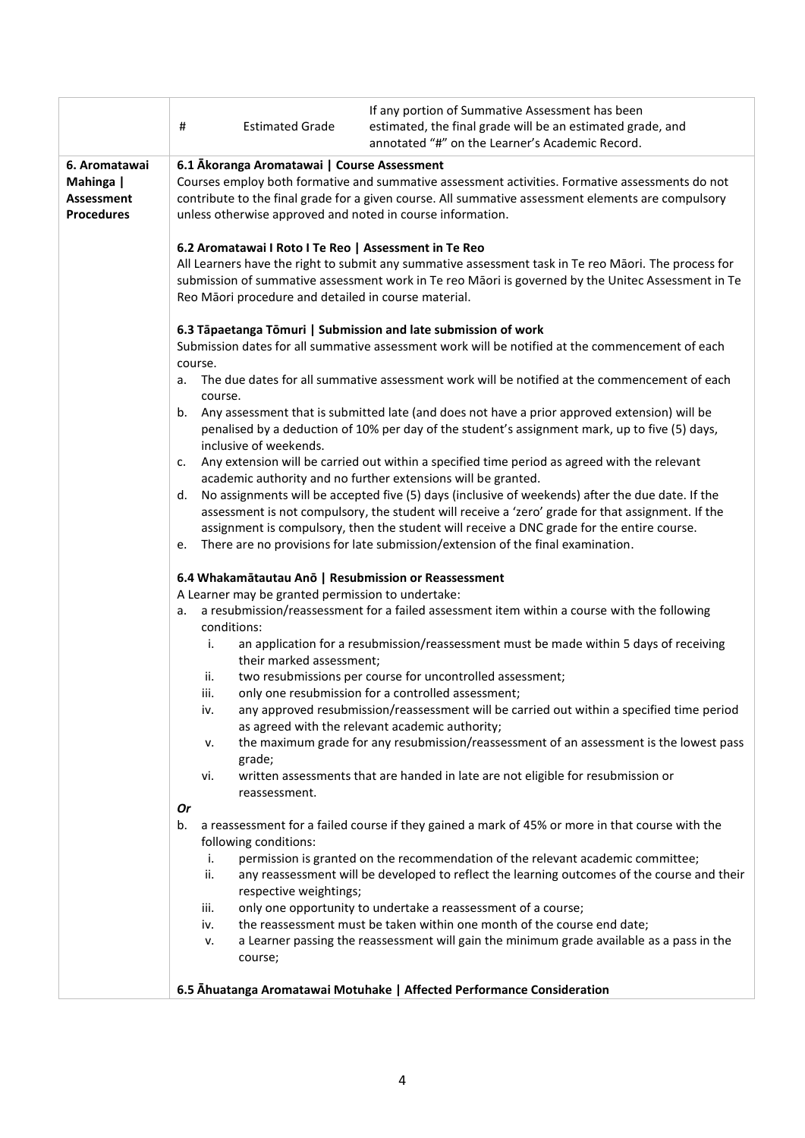|                                                     | #<br><b>Estimated Grade</b>                                                                                                                                                                                                                                                                                                 | If any portion of Summative Assessment has been<br>estimated, the final grade will be an estimated grade, and<br>annotated "#" on the Learner's Academic Record.                                                                                                                                    |  |  |  |  |
|-----------------------------------------------------|-----------------------------------------------------------------------------------------------------------------------------------------------------------------------------------------------------------------------------------------------------------------------------------------------------------------------------|-----------------------------------------------------------------------------------------------------------------------------------------------------------------------------------------------------------------------------------------------------------------------------------------------------|--|--|--|--|
| 6. Aromatawai                                       |                                                                                                                                                                                                                                                                                                                             |                                                                                                                                                                                                                                                                                                     |  |  |  |  |
| Mahinga  <br><b>Assessment</b><br><b>Procedures</b> | 6.1 Akoranga Aromatawai   Course Assessment<br>Courses employ both formative and summative assessment activities. Formative assessments do not<br>contribute to the final grade for a given course. All summative assessment elements are compulsory<br>unless otherwise approved and noted in course information.          |                                                                                                                                                                                                                                                                                                     |  |  |  |  |
|                                                     | 6.2 Aromatawai I Roto I Te Reo   Assessment in Te Reo<br>All Learners have the right to submit any summative assessment task in Te reo Māori. The process for<br>submission of summative assessment work in Te reo Māori is governed by the Unitec Assessment in Te<br>Reo Māori procedure and detailed in course material. |                                                                                                                                                                                                                                                                                                     |  |  |  |  |
|                                                     | 6.3 Tāpaetanga Tōmuri   Submission and late submission of work<br>course.                                                                                                                                                                                                                                                   | Submission dates for all summative assessment work will be notified at the commencement of each                                                                                                                                                                                                     |  |  |  |  |
|                                                     | a.<br>course.                                                                                                                                                                                                                                                                                                               | The due dates for all summative assessment work will be notified at the commencement of each                                                                                                                                                                                                        |  |  |  |  |
|                                                     | inclusive of weekends.                                                                                                                                                                                                                                                                                                      | b. Any assessment that is submitted late (and does not have a prior approved extension) will be<br>penalised by a deduction of 10% per day of the student's assignment mark, up to five (5) days,                                                                                                   |  |  |  |  |
|                                                     | c.                                                                                                                                                                                                                                                                                                                          | Any extension will be carried out within a specified time period as agreed with the relevant<br>academic authority and no further extensions will be granted.                                                                                                                                       |  |  |  |  |
|                                                     | d.                                                                                                                                                                                                                                                                                                                          | No assignments will be accepted five (5) days (inclusive of weekends) after the due date. If the<br>assessment is not compulsory, the student will receive a 'zero' grade for that assignment. If the<br>assignment is compulsory, then the student will receive a DNC grade for the entire course. |  |  |  |  |
|                                                     | There are no provisions for late submission/extension of the final examination.<br>e.<br>6.4 Whakamātautau Anō   Resubmission or Reassessment                                                                                                                                                                               |                                                                                                                                                                                                                                                                                                     |  |  |  |  |
|                                                     | A Learner may be granted permission to undertake:<br>a resubmission/reassessment for a failed assessment item within a course with the following<br>а.<br>conditions:                                                                                                                                                       |                                                                                                                                                                                                                                                                                                     |  |  |  |  |
|                                                     |                                                                                                                                                                                                                                                                                                                             |                                                                                                                                                                                                                                                                                                     |  |  |  |  |
|                                                     | i.<br>their marked assessment;                                                                                                                                                                                                                                                                                              | an application for a resubmission/reassessment must be made within 5 days of receiving                                                                                                                                                                                                              |  |  |  |  |
|                                                     | ii.                                                                                                                                                                                                                                                                                                                         | two resubmissions per course for uncontrolled assessment;                                                                                                                                                                                                                                           |  |  |  |  |
|                                                     | iii.                                                                                                                                                                                                                                                                                                                        | only one resubmission for a controlled assessment;                                                                                                                                                                                                                                                  |  |  |  |  |
|                                                     | IV.                                                                                                                                                                                                                                                                                                                         | any approved resubmission/reassessment will be carried out within a specified time period<br>as agreed with the relevant academic authority;                                                                                                                                                        |  |  |  |  |
|                                                     | ν.<br>grade;                                                                                                                                                                                                                                                                                                                | the maximum grade for any resubmission/reassessment of an assessment is the lowest pass                                                                                                                                                                                                             |  |  |  |  |
|                                                     | vi.<br>reassessment.                                                                                                                                                                                                                                                                                                        | written assessments that are handed in late are not eligible for resubmission or                                                                                                                                                                                                                    |  |  |  |  |
|                                                     | Or                                                                                                                                                                                                                                                                                                                          |                                                                                                                                                                                                                                                                                                     |  |  |  |  |
|                                                     | b.                                                                                                                                                                                                                                                                                                                          | a reassessment for a failed course if they gained a mark of 45% or more in that course with the                                                                                                                                                                                                     |  |  |  |  |
|                                                     | following conditions:                                                                                                                                                                                                                                                                                                       |                                                                                                                                                                                                                                                                                                     |  |  |  |  |
|                                                     | i.<br>ii.                                                                                                                                                                                                                                                                                                                   | permission is granted on the recommendation of the relevant academic committee;<br>any reassessment will be developed to reflect the learning outcomes of the course and their                                                                                                                      |  |  |  |  |
|                                                     | respective weightings;                                                                                                                                                                                                                                                                                                      |                                                                                                                                                                                                                                                                                                     |  |  |  |  |
|                                                     | iii.                                                                                                                                                                                                                                                                                                                        | only one opportunity to undertake a reassessment of a course;                                                                                                                                                                                                                                       |  |  |  |  |
|                                                     | iv.                                                                                                                                                                                                                                                                                                                         | the reassessment must be taken within one month of the course end date;                                                                                                                                                                                                                             |  |  |  |  |
|                                                     | v.<br>course;                                                                                                                                                                                                                                                                                                               | a Learner passing the reassessment will gain the minimum grade available as a pass in the                                                                                                                                                                                                           |  |  |  |  |
|                                                     |                                                                                                                                                                                                                                                                                                                             | 6.5 Ahuatanga Aromatawai Motuhake   Affected Performance Consideration                                                                                                                                                                                                                              |  |  |  |  |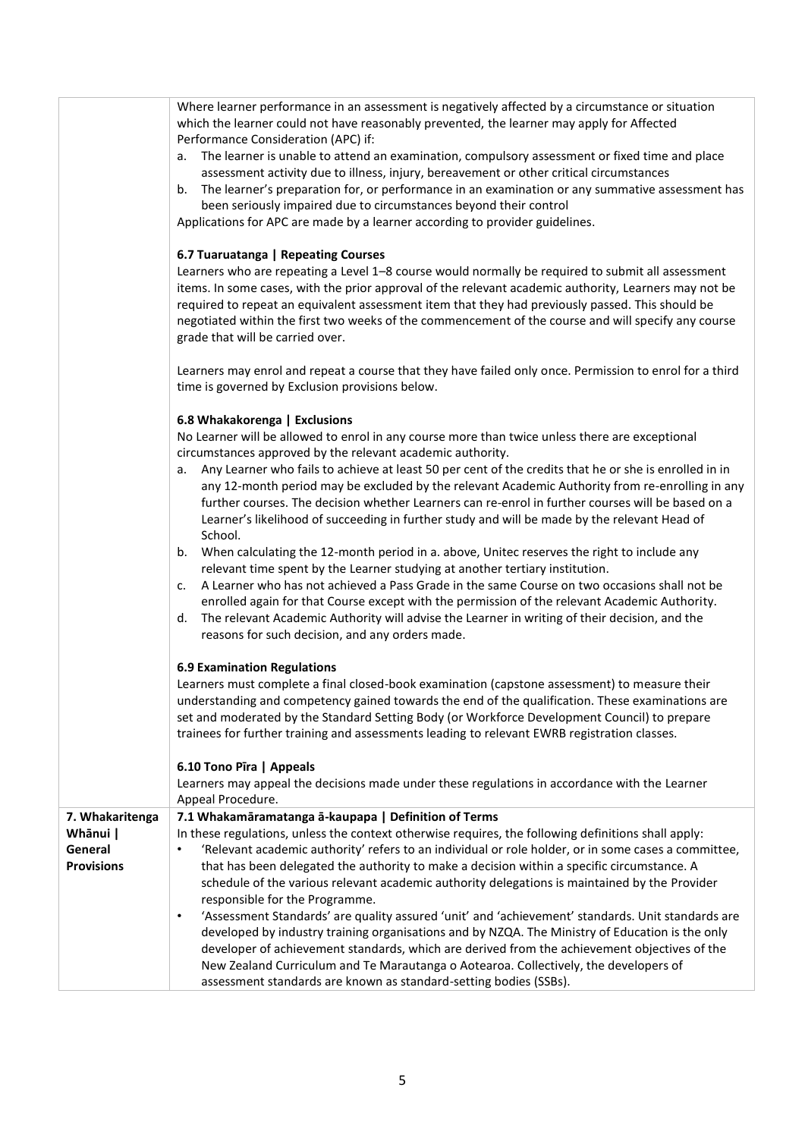| Where learner performance in an assessment is negatively affected by a circumstance or situation<br>which the learner could not have reasonably prevented, the learner may apply for Affected<br>Performance Consideration (APC) if:<br>The learner is unable to attend an examination, compulsory assessment or fixed time and place<br>а.<br>assessment activity due to illness, injury, bereavement or other critical circumstances<br>The learner's preparation for, or performance in an examination or any summative assessment has<br>b.<br>been seriously impaired due to circumstances beyond their control<br>Applications for APC are made by a learner according to provider guidelines.                                                                                                                                                                                                                                                                                                                                                                                                                                                                                                                                                                                                                                                                                                                                                                                                                                                                                                                                                        |  |  |  |  |
|-------------------------------------------------------------------------------------------------------------------------------------------------------------------------------------------------------------------------------------------------------------------------------------------------------------------------------------------------------------------------------------------------------------------------------------------------------------------------------------------------------------------------------------------------------------------------------------------------------------------------------------------------------------------------------------------------------------------------------------------------------------------------------------------------------------------------------------------------------------------------------------------------------------------------------------------------------------------------------------------------------------------------------------------------------------------------------------------------------------------------------------------------------------------------------------------------------------------------------------------------------------------------------------------------------------------------------------------------------------------------------------------------------------------------------------------------------------------------------------------------------------------------------------------------------------------------------------------------------------------------------------------------------------|--|--|--|--|
| 6.7 Tuaruatanga   Repeating Courses<br>Learners who are repeating a Level 1-8 course would normally be required to submit all assessment<br>items. In some cases, with the prior approval of the relevant academic authority, Learners may not be<br>required to repeat an equivalent assessment item that they had previously passed. This should be<br>negotiated within the first two weeks of the commencement of the course and will specify any course<br>grade that will be carried over.                                                                                                                                                                                                                                                                                                                                                                                                                                                                                                                                                                                                                                                                                                                                                                                                                                                                                                                                                                                                                                                                                                                                                            |  |  |  |  |
| Learners may enrol and repeat a course that they have failed only once. Permission to enrol for a third<br>time is governed by Exclusion provisions below.                                                                                                                                                                                                                                                                                                                                                                                                                                                                                                                                                                                                                                                                                                                                                                                                                                                                                                                                                                                                                                                                                                                                                                                                                                                                                                                                                                                                                                                                                                  |  |  |  |  |
| 6.8 Whakakorenga   Exclusions<br>No Learner will be allowed to enrol in any course more than twice unless there are exceptional<br>circumstances approved by the relevant academic authority.<br>Any Learner who fails to achieve at least 50 per cent of the credits that he or she is enrolled in in<br>а.<br>any 12-month period may be excluded by the relevant Academic Authority from re-enrolling in any<br>further courses. The decision whether Learners can re-enrol in further courses will be based on a<br>Learner's likelihood of succeeding in further study and will be made by the relevant Head of<br>School.<br>When calculating the 12-month period in a. above, Unitec reserves the right to include any<br>b.<br>relevant time spent by the Learner studying at another tertiary institution.<br>A Learner who has not achieved a Pass Grade in the same Course on two occasions shall not be<br>c.<br>enrolled again for that Course except with the permission of the relevant Academic Authority.<br>The relevant Academic Authority will advise the Learner in writing of their decision, and the<br>d.<br>reasons for such decision, and any orders made.<br><b>6.9 Examination Regulations</b><br>Learners must complete a final closed-book examination (capstone assessment) to measure their<br>understanding and competency gained towards the end of the qualification. These examinations are<br>set and moderated by the Standard Setting Body (or Workforce Development Council) to prepare<br>trainees for further training and assessments leading to relevant EWRB registration classes.<br>6.10 Tono Pīra   Appeals |  |  |  |  |
| Learners may appeal the decisions made under these regulations in accordance with the Learner<br>Appeal Procedure.                                                                                                                                                                                                                                                                                                                                                                                                                                                                                                                                                                                                                                                                                                                                                                                                                                                                                                                                                                                                                                                                                                                                                                                                                                                                                                                                                                                                                                                                                                                                          |  |  |  |  |
| 7.1 Whakamāramatanga ā-kaupapa   Definition of Terms<br>In these regulations, unless the context otherwise requires, the following definitions shall apply:<br>'Relevant academic authority' refers to an individual or role holder, or in some cases a committee,<br>$\bullet$<br>that has been delegated the authority to make a decision within a specific circumstance. A<br>schedule of the various relevant academic authority delegations is maintained by the Provider<br>responsible for the Programme.<br>'Assessment Standards' are quality assured 'unit' and 'achievement' standards. Unit standards are<br>$\bullet$<br>developed by industry training organisations and by NZQA. The Ministry of Education is the only<br>developer of achievement standards, which are derived from the achievement objectives of the<br>New Zealand Curriculum and Te Marautanga o Aotearoa. Collectively, the developers of<br>assessment standards are known as standard-setting bodies (SSBs).                                                                                                                                                                                                                                                                                                                                                                                                                                                                                                                                                                                                                                                          |  |  |  |  |
|                                                                                                                                                                                                                                                                                                                                                                                                                                                                                                                                                                                                                                                                                                                                                                                                                                                                                                                                                                                                                                                                                                                                                                                                                                                                                                                                                                                                                                                                                                                                                                                                                                                             |  |  |  |  |